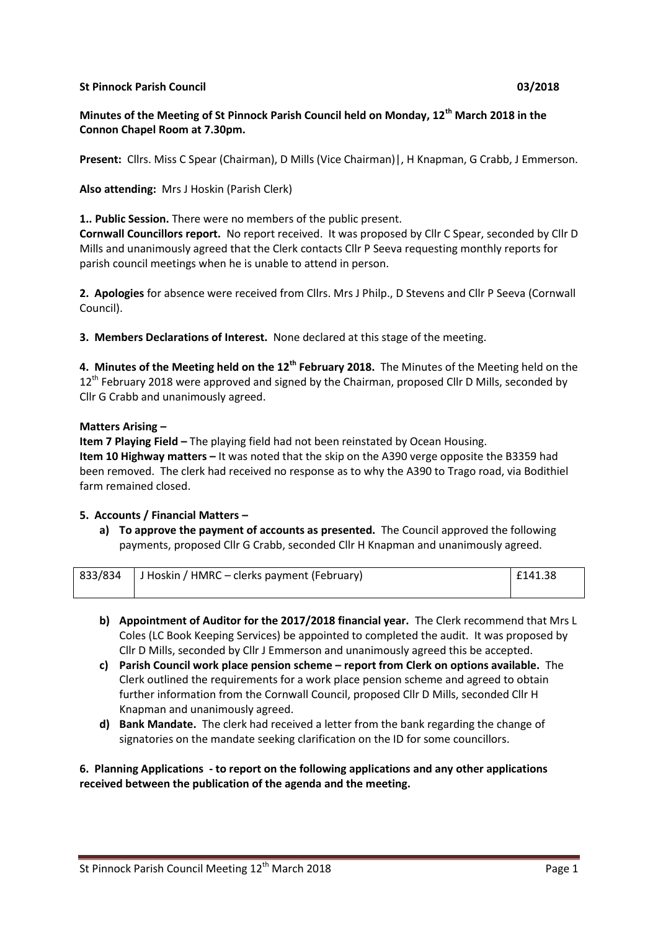### **St Pinnock Parish Council 03/2018**

# **Minutes of the Meeting of St Pinnock Parish Council held on Monday, 12th March 2018 in the Connon Chapel Room at 7.30pm.**

**Present:** Cllrs. Miss C Spear (Chairman), D Mills (Vice Chairman)|, H Knapman, G Crabb, J Emmerson.

## **Also attending:** Mrs J Hoskin (Parish Clerk)

**1.. Public Session.** There were no members of the public present.

**Cornwall Councillors report.** No report received. It was proposed by Cllr C Spear, seconded by Cllr D Mills and unanimously agreed that the Clerk contacts Cllr P Seeva requesting monthly reports for parish council meetings when he is unable to attend in person.

**2. Apologies** for absence were received from Cllrs. Mrs J Philp., D Stevens and Cllr P Seeva (Cornwall Council).

**3. Members Declarations of Interest.** None declared at this stage of the meeting.

**4. Minutes of the Meeting held on the 12th February 2018.** The Minutes of the Meeting held on the 12<sup>th</sup> February 2018 were approved and signed by the Chairman, proposed Cllr D Mills, seconded by Cllr G Crabb and unanimously agreed.

#### **Matters Arising –**

**Item 7 Playing Field –** The playing field had not been reinstated by Ocean Housing. **Item 10 Highway matters –** It was noted that the skip on the A390 verge opposite the B3359 had been removed. The clerk had received no response as to why the A390 to Trago road, via Bodithiel farm remained closed.

#### **5. Accounts / Financial Matters –**

**a) To approve the payment of accounts as presented.** The Council approved the following payments, proposed Cllr G Crabb, seconded Cllr H Knapman and unanimously agreed.

| 833/834 J Hoskin / HMRC – clerks payment (February) | $ $ £141.38 |
|-----------------------------------------------------|-------------|
|                                                     |             |

- **b) Appointment of Auditor for the 2017/2018 financial year.** The Clerk recommend that Mrs L Coles (LC Book Keeping Services) be appointed to completed the audit. It was proposed by Cllr D Mills, seconded by Cllr J Emmerson and unanimously agreed this be accepted.
- **c) Parish Council work place pension scheme – report from Clerk on options available.** The Clerk outlined the requirements for a work place pension scheme and agreed to obtain further information from the Cornwall Council, proposed Cllr D Mills, seconded Cllr H Knapman and unanimously agreed.
- **d) Bank Mandate.** The clerk had received a letter from the bank regarding the change of signatories on the mandate seeking clarification on the ID for some councillors.

**6. Planning Applications - to report on the following applications and any other applications received between the publication of the agenda and the meeting.**